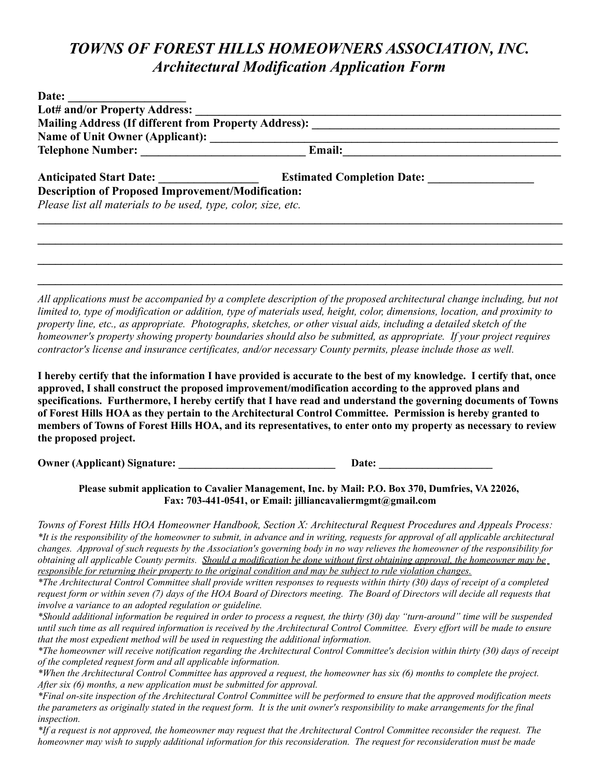## *TOWNS OF FOREST HILLS HOMEOWNERS ASSOCIATION, INC. Architectural Modification Application Form*

| Date: $\qquad \qquad$                                         |                                                                                                                             |  |  |
|---------------------------------------------------------------|-----------------------------------------------------------------------------------------------------------------------------|--|--|
|                                                               |                                                                                                                             |  |  |
|                                                               |                                                                                                                             |  |  |
|                                                               |                                                                                                                             |  |  |
| <b>Description of Proposed Improvement/Modification:</b>      |                                                                                                                             |  |  |
| Please list all materials to be used, type, color, size, etc. |                                                                                                                             |  |  |
|                                                               |                                                                                                                             |  |  |
|                                                               |                                                                                                                             |  |  |
|                                                               |                                                                                                                             |  |  |
|                                                               |                                                                                                                             |  |  |
|                                                               |                                                                                                                             |  |  |
|                                                               | All applications must be accompanied by a complete description of the proposed architectural change including, but not      |  |  |
|                                                               | limited to, type of modification or addition, type of materials used, height, color, dimensions, location, and proximity to |  |  |

*limited to, type of modification or addition, type of materials used, height, color, dimensions, location, and proximity to property line, etc., as appropriate. Photographs, sketches, or other visual aids, including a detailed sketch of the homeowner's property showing property boundaries should also be submitted, as appropriate. If your project requires contractor's license and insurance certificates, and/or necessary County permits, please include those as well.* 

**I hereby certify that the information I have provided is accurate to the best of my knowledge. I certify that, once approved, I shall construct the proposed improvement/modification according to the approved plans and specifications. Furthermore, I hereby certify that I have read and understand the governing documents of Towns of Forest Hills HOA as they pertain to the Architectural Control Committee. Permission is hereby granted to members of Towns of Forest Hills HOA, and its representatives, to enter onto my property as necessary to review the proposed project.**

**Owner (Applicant) Signature:**  Date:

**Please submit application to Cavalier Management, Inc. by Mail: P.O. Box 370, Dumfries, VA 22026, Fax: 703-441-0541, or Email: jilliancavaliermgmt@gmail.com**

*Towns of Forest Hills HOA Homeowner Handbook, Section X: Architectural Request Procedures and Appeals Process: \*It is the responsibility of the homeowner to submit, in advance and in writing, requests for approval of all applicable architectural changes. Approval of such requests by the Association's governing body in no way relieves the homeowner of the responsibility for obtaining all applicable County permits. Should a modification be done without first obtaining approval, the homeowner may be responsible for returning their property to the original condition and may be subject to rule violation changes.*

*\*The Architectural Control Committee shall provide written responses to requests within thirty (30) days of receipt of a completed request form or within seven (7) days of the HOA Board of Directors meeting. The Board of Directors will decide all requests that involve a variance to an adopted regulation or guideline.*

*\*Should additional information be required in order to process a request, the thirty (30) day "turn-around" time will be suspended until such time as all required information is received by the Architectural Control Committee. Every effort will be made to ensure that the most expedient method will be used in requesting the additional information.* 

*\*The homeowner will receive notification regarding the Architectural Control Committee's decision within thirty (30) days of receipt of the completed request form and all applicable information.*

*\*When the Architectural Control Committee has approved a request, the homeowner has six (6) months to complete the project. After six (6) months, a new application must be submitted for approval.*

*\*Final on-site inspection of the Architectural Control Committee will be performed to ensure that the approved modification meets the parameters as originally stated in the request form. It is the unit owner's responsibility to make arrangements for the final inspection.*

*\*If a request is not approved, the homeowner may request that the Architectural Control Committee reconsider the request. The homeowner may wish to supply additional information for this reconsideration. The request for reconsideration must be made*